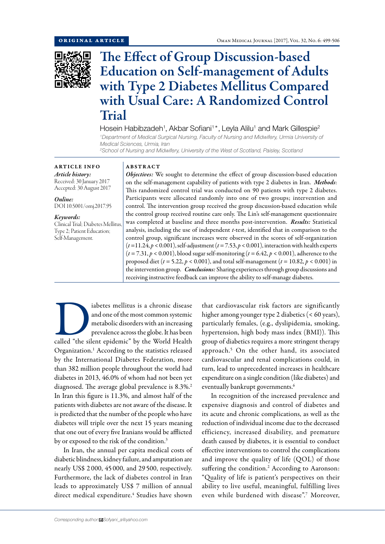

# The Effect of Group Discussion-based Education on Self-management of Adults with Type 2 Diabetes Mellitus Compared with Usual Care: A Randomized Control Trial

Hosein Habibzadeh<sup>1</sup>, Akbar Sofiani<sup>1\*</sup>, Leyla Alilu<sup>1</sup> and Mark Gillespie<sup>2</sup> *1 Department of Medical Surgical Nursing, Faculty of Nursing and Midwifery, Urmia University of Medical Sciences, Urmia, Iran*

*2 School of Nursing and Midwifery, University of the West of Scotland, Paisley, Scotland*

## ARTICLE INFO

*Article history:* Received: 30 January 2017 Accepted: 30 August 2017

*Online:* DOI 10.5001/omj.2017.95

*Keywords:*  Clinical Trial; Diabetes Mellitus, Type 2; Patient Education; Self-Management.

### ABSTRACT

*Objectives:* We sought to determine the effect of group discussion-based education on the self-management capability of patients with type 2 diabetes in Iran. *Methods*: This randomized control trial was conducted on 90 patients with type 2 diabetes. Participants were allocated randomly into one of two groups; intervention and control. The intervention group received the group discussion-based education while the control group received routine care only. The Lin's self-management questionnaire was completed at baseline and three months post-intervention. *Results:* Statistical analysis, including the use of independent *t*-test, identified that in comparison to the control group, significant increases were observed in the scores of self-organization  $(t=11.24, p < 0.001)$ , self-adjustment  $(t=7.53, p < 0.001)$ , interaction with health experts  $(t = 7.31, p < 0.001)$ , blood sugar self-monitoring  $(t = 6.42, p < 0.001)$ , adherence to the proposed diet (*t* = 5.22, *p* < 0.001), and total self-management (*t* = 10.82, *p* < 0.001) in the intervention group. *Conclusions:* Sharing experiences through group discussions and receiving instructive feedback can improve the ability to self-manage diabetes.

abetes mellitus is a chronic disease<br>
and one of the most common systemic<br>
metabolic disorders with an increasing<br>
prevalence across the globe. It has been<br>
called "the silent epidemic" by the World Health and one of the most common systemic metabolic disorders with an increasing prevalence across the globe. It has been Organization.1 According to the statistics released by the International Diabetes Federation, more than 382 million people throughout the world had diabetes in 2013, 46.0% of whom had not been yet diagnosed. The average global prevalence is 8.3%.<sup>2</sup> In Iran this figure is 11.3%, and almost half of the patients with diabetes are not aware of the disease. It is predicted that the number of the people who have diabetes will triple over the next 15 years meaning that one out of every five Iranians would be afflicted by or exposed to the risk of the condition.<sup>3</sup>

In Iran, the annual per capita medical costs of diabetic blindness, kidney failure, and amputation are nearly US\$ 2 000, 45 000, and 29 500, respectively. Furthermore, the lack of diabetes control in Iran leads to approximately US\$ 7 million of annual direct medical expenditure.<sup>4</sup> Studies have shown

that cardiovascular risk factors are significantly higher among younger type 2 diabetics (< 60 years), particularly females, (e.g., dyslipidemia, smoking, hypertension, high body mass index (BMI)). This group of diabetics requires a more stringent therapy approach.5 On the other hand, its associated cardiovascular and renal complications could, in turn, lead to unprecedented increases in healthcare expenditure on a single condition (like diabetes) and eventually bankrupt governments.<sup>6</sup>

In recognition of the increased prevalence and expensive diagnosis and control of diabetes and its acute and chronic complications, as well as the reduction of individual income due to the decreased efficiency, increased disability, and premature death caused by diabetes, it is essential to conduct effective interventions to control the complications and improve the quality of life (QOL) of those suffering the condition.<sup>2</sup> According to Aaronson: "Quality of life is patient's perspectives on their ability to live useful, meaningful, fulfilling lives even while burdened with disease".<sup>7</sup> Moreover,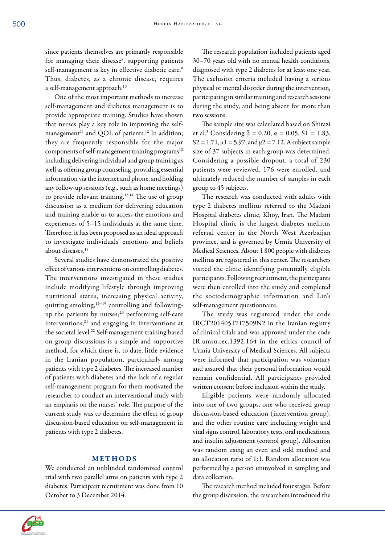since patients themselves are primarily responsible for managing their disease<sup>8</sup>, supporting patients self-management is key in effective diabetic care.<sup>9</sup> Thus, diabetes, as a chronic disease, requires a self-management approach.10

One of the most important methods to increase self-management and diabetes management is to provide appropriate training. Studies have shown that nurses play a key role in improving the selfmanagement<sup>11</sup> and QOL of patients.<sup>12</sup> In addition, they are frequently responsible for the major components of self-management training programs<sup>12</sup> including delivering individual and group training as well as offering group counseling, providing essential information via the internet and phone, and holding any follow-up sessions (e.g., such as home meetings) to provide relevant training.<sup>13,14</sup> The use of group discussion as a medium for delivering education and training enable us to access the emotions and experiences of 5–15 individuals at the same time. Therefore, it has been proposed as an ideal approach to investigate individuals' emotions and beliefs about diseases.15

Several studies have demonstrated the positive effect of various interventions on controlling diabetes. The interventions investigated in these studies include modifying lifestyle through improving nutritional status, increasing physical activity, quitting smoking,<sup>16-19</sup> controlling and followingup the patients by nurses; $^{20}$  performing self-care interventions, $21$  and engaging in interventions at the societal level.<sup>22</sup> Self-management training based on group discussions is a simple and supportive method, for which there is, to date, little evidence in the Iranian population, particularly among patients with type 2 diabetes. The increased number of patients with diabetes and the lack of a regular self-management program for them motivated the researcher to conduct an interventional study with an emphasis on the nurses' role. The purpose of the current study was to determine the effect of group discussion-based education on self-management in patients with type 2 diabetes.

### METHODS

We conducted an unblinded randomized control trial with two parallel arms on patients with type 2 diabetes. Participant recruitment was done from 10 October to 3 December 2014.

The research population included patients aged 30–70 years old with no mental health conditions, diagnosed with type 2 diabetes for at least one year. The exclusion criteria included having a serious physical or mental disorder during the intervention, participating in similar training and research sessions during the study, and being absent for more than two sessions.

The sample size was calculated based on Shirazi et al.<sup>3</sup> Considering β = 0.20, α = 0.05, S1 = 1.83,  $S2 = 1.71$ ,  $\mu$ 1 = 5.97, and  $\mu$ 2 = 7.12. A subject sample size of 37 subjects in each group was determined. Considering a possible dropout, a total of 230 patients were reviewed, 176 were enrolled, and ultimately reduced the number of samples in each group to 45 subjects.

The research was conducted with adults with type 2 diabetes mellitus referred to the Madani Hospital diabetes clinic, Khoy, Iran. The Madani Hospital clinic is the largest diabetes mellitus referral center in the North West Azerbaijan province, and is governed by Urmia University of Medical Sciences. About 1 800 people with diabetes mellitus are registered in this center. The researchers visited the clinic identifying potentially eligible participants. Following recruitment, the participants were then enrolled into the study and completed the sociodemographic information and Lin's self-management questionnaire.

The study was registered under the code IRCT2014051717509N2 in the Iranian registry of clinical trials and was approved under the code IR.umsu.rec.1392.164 in the ethics council of Urmia University of Medical Sciences. All subjects were informed that participation was voluntary and assured that their personal information would remain confidential. All participants provided written consent before inclusion within the study.

Eligible patients were randomly allocated into one of two groups, one who received group discussion-based education (intervention group), and the other routine care including weight and vital signs control, laboratory tests, oral medications, and insulin adjustment (control group). Allocation was random using an even and odd method and an allocation ratio of 1:1. Random allocation was performed by a person uninvolved in sampling and data collection.

The research method included four stages. Before the group discussion, the researchers introduced the

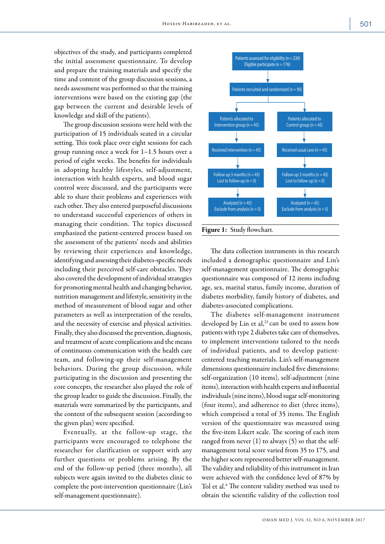objectives of the study, and participants completed the initial assessment questionnaire. To develop and prepare the training materials and specify the time and content of the group discussion sessions, a needs assessment was performed so that the training interventions were based on the existing gap (the gap between the current and desirable levels of knowledge and skill of the patients).

The group discussion sessions were held with the participation of 15 individuals seated in a circular setting. This took place over eight sessions for each group running once a week for 1–1.5 hours over a period of eight weeks. The benefits for individuals in adopting healthy lifestyles, self-adjustment, interaction with health experts, and blood sugar control were discussed, and the participants were able to share their problems and experiences with each other. They also entered purposeful discussions to understand successful experiences of others in managing their condition. The topics discussed emphasized the patient-centered process based on the assessment of the patients' needs and abilities by reviewing their experiences and knowledge, identifying and assessing their diabetes-specific needs including their perceived self-care obstacles. They also covered the development of individual strategies for promoting mental health and changing behavior, nutrition management and lifestyle, sensitivity in the method of measurement of blood sugar and other parameters as well as interpretation of the results, and the necessity of exercise and physical activities. Finally, they also discussed the prevention, diagnosis, and treatment of acute complications and the means of continuous communication with the health care team, and following-up their self-management behaviors. During the group discussion, while participating in the discussion and presenting the core concepts, the researcher also played the role of the group leader to guide the discussion. Finally, the materials were summarized by the participants, and the content of the subsequent session (according to the given plan) were specified.

Eventually, at the follow-up stage, the participants were encouraged to telephone the researcher for clarification or support with any further questions or problems arising. By the end of the follow-up period (three months), all subjects were again invited to the diabetes clinic to complete the post-intervention questionnaire (Lin's self-management questionnaire).



The data collection instruments in this research included a demographic questionnaire and Lin's self-management questionnaire. The demographic questionnaire was composed of 12 items including age, sex, marital status, family income, duration of diabetes morbidity, family history of diabetes, and diabetes-associated complications.

The diabetes self-management instrument developed by Lin et al,<sup>23</sup> can be used to assess how patients with type 2 diabetes take care of themselves, to implement interventions tailored to the needs of individual patients, and to develop patientcentered teaching materials. Lin's self-management dimensions questionnaire included five dimensions: self-organization (10 items), self-adjustment (nine items), interaction with health experts and influential individuals (nine items), blood sugar self-monitoring (four items), and adherence to diet (three items), which comprised a total of 35 items. The English version of the questionnaire was measured using the five-item Likert scale. The scoring of each item ranged from never (1) to always (5) so that the selfmanagement total score varied from 35 to 175, and the higher score represented better self-management. The validity and reliability of this instrument in Iran were achieved with the confidence level of 87% by Tol et al.<sup>4</sup> The content validity method was used to obtain the scientific validity of the collection tool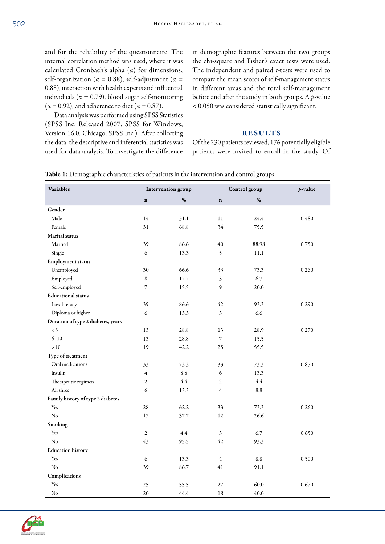and for the reliability of the questionnaire. The internal correlation method was used, where it was calculated Cronbach' s alpha (α) for dimensions; self-organization ( $\alpha = 0.88$ ), self-adjustment ( $\alpha =$ 0.88), interaction with health experts and influential individuals ( $\alpha = 0.79$ ), blood sugar self-monitoring  $(\alpha = 0.92)$ , and adherence to diet  $(\alpha = 0.87)$ .

Data analysis was performed using SPSS Statistics (SPSS Inc. Released 2007. SPSS for Windows, Version 16.0. Chicago, SPSS Inc.). After collecting the data, the descriptive and inferential statistics was used for data analysis. To investigate the difference in demographic features between the two groups the chi-square and Fisher's exact tests were used. The independent and paired *t*-tests were used to compare the mean scores of self-management status in different areas and the total self-management before and after the study in both groups. A *p-*value < 0.050 was considered statistically significant.

## RESULTS

Of the 230 patients reviewed, 176 potentially eligible patients were invited to enroll in the study. Of

| <b>Variables</b>                   | Intervention group |         |                | Control group | $p$ -value |  |
|------------------------------------|--------------------|---------|----------------|---------------|------------|--|
|                                    | $\bf n$            | $\%$    | $\mathbf n$    | %             |            |  |
| Gender                             |                    |         |                |               |            |  |
| Male                               | 14                 | 31.1    | 11             | 24.4          | 0.480      |  |
| Female                             | 31                 | 68.8    | 34             | 75.5          |            |  |
| Marital status                     |                    |         |                |               |            |  |
| Married                            | 39                 | 86.6    | 40             | 88.98         | 0.750      |  |
| Single                             | 6                  | 13.3    | 5              | 11.1          |            |  |
| <b>Employment status</b>           |                    |         |                |               |            |  |
| Unemployed                         | 30                 | 66.6    | 33             | 73.3          | 0.260      |  |
| Employed                           | 8                  | 17.7    | 3              | 6.7           |            |  |
| Self-employed                      | 7                  | 15.5    | 9              | 20.0          |            |  |
| <b>Educational</b> status          |                    |         |                |               |            |  |
| Low literacy                       | 39                 | 86.6    | 42             | 93.3          | 0.290      |  |
| Diploma or higher                  | $\epsilon$         | 13.3    | 3              | 6.6           |            |  |
| Duration of type 2 diabetes, years |                    |         |                |               |            |  |
| $\leq 5$                           | 13                 | 28.8    | 13             | 28.9          | 0.270      |  |
| $6 - 10$                           | 13                 | 28.8    | 7              | 15.5          |            |  |
| >10                                | 19                 | 42.2    | 25             | 55.5          |            |  |
| Type of treatment                  |                    |         |                |               |            |  |
| Oral medications                   | 33                 | 73.3    | 33             | 73.3          | 0.850      |  |
| Insulin                            | $\overline{4}$     | 8.8     | $\epsilon$     | 13.3          |            |  |
| Therapeutic regimen                | $\overline{c}$     | 4.4     | $\overline{2}$ | 4.4           |            |  |
| All three                          | 6                  | 13.3    | $\overline{4}$ | $8.8\,$       |            |  |
| Family history of type 2 diabetes  |                    |         |                |               |            |  |
| Yes                                | 28                 | 62.2    | 33             | 73.3          | 0.260      |  |
| $\rm No$                           | 17                 | 37.7    | 12             | 26.6          |            |  |
| Smoking                            |                    |         |                |               |            |  |
| Yes                                | $\sqrt{2}$         | $4.4\,$ | 3              | 6.7           | 0.650      |  |
| No                                 | 43                 | 95.5    | 42             | 93.3          |            |  |
| <b>Education history</b>           |                    |         |                |               |            |  |
| Yes                                | 6                  | 13.3    | $\overline{4}$ | $8.8\,$       | 0.500      |  |
| N <sub>o</sub>                     | 39                 | 86.7    | 41             | 91.1          |            |  |
| Complications                      |                    |         |                |               |            |  |
| Yes                                | 25                 | 55.5    | 27             | 60.0          | 0.670      |  |
| No                                 | 20                 | 44.4    | 18             | 40.0          |            |  |

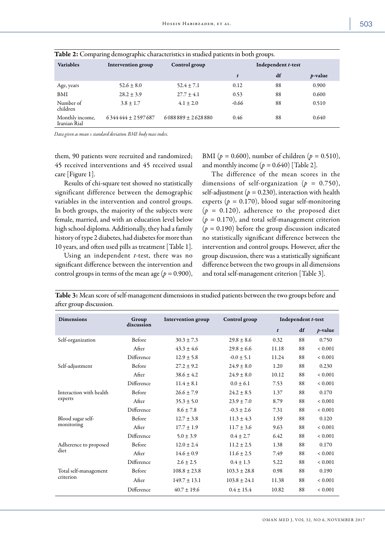| <b>Variables</b>                | Intervention group  | Control group       | Independent t-test |    |                 |
|---------------------------------|---------------------|---------------------|--------------------|----|-----------------|
|                                 |                     |                     | t                  | df | <i>p</i> -value |
| Age, years                      | $52.6 \pm 8.0$      | $52.4 \pm 7.1$      | 0.12               | 88 | 0.900           |
| BMI                             | $28.2 \pm 3.9$      | $27.7 + 4.1$        | 0.53               | 88 | 0.600           |
| Number of<br>children           | $3.8 \pm 1.7$       | $4.1 \pm 2.0$       | $-0.66$            | 88 | 0.510           |
| Monthly income,<br>Iranian Rial | $6344444 + 2597687$ | $6088889 + 2628880$ | 0.46               | 88 | 0.640           |

Table 2: Comparing demographic characteristics in studied patients in both groups.

*Data given as mean ± standard deviation. BMI: body mass index.*

them, 90 patients were recruited and randomized; 45 received interventions and 45 received usual care [Figure 1].

Results of chi-square test showed no statistically significant difference between the demographic variables in the intervention and control groups. In both groups, the majority of the subjects were female, married, and with an education level below high school diploma. Additionally, they had a family history of type 2 diabetes, had diabetes for more than 10 years, and often used pills as treatment [Table 1].

Using an independent *t*-test, there was no significant difference between the intervention and control groups in terms of the mean age ( $p = 0.900$ ), BMI (*p =* 0.600), number of children (*p =* 0.510), and monthly income  $(p = 0.640)$  [Table 2].

The difference of the mean scores in the dimensions of self-organization (*p =* 0.750), self-adjustment ( $p = 0.230$ ), interaction with health experts ( $p = 0.170$ ), blood sugar self-monitoring (*p =* 0.120), adherence to the proposed diet  $(p = 0.170)$ , and total self-management criterion (*p =* 0.190) before the group discussion indicated no statistically significant difference between the intervention and control groups. However, after the group discussion, there was a statistically significant difference between the two groups in all dimensions and total self-management criterion [Table 3].

Table 3: Mean score of self-management dimensions in studied patients between the two groups before and after group discussion.

| <b>Dimensions</b>                  | Group         | <b>Intervention group</b> | Control group    | Independent t-test |    |              |
|------------------------------------|---------------|---------------------------|------------------|--------------------|----|--------------|
|                                    | discussion    |                           |                  | $\boldsymbol{t}$   | df | $p$ -value   |
| Self-organization                  | Before        | $30.3 \pm 7.3$            | $29.8 + 8.6$     | 0.32               | 88 | 0.750        |
|                                    | After         | $43.3 \pm 4.6$            | $29.8 \pm 6.6$   | 11.18              | 88 | ${}< 0.001$  |
|                                    | Difference    | $12.9 \pm 5.8$            | $-0.0 \pm 5.1$   | 11.24              | 88 | ${}_{0.001}$ |
| Self-adjustment                    | Before        | $27.2 + 9.2$              | $24.9 \pm 8.0$   | 1.20               | 88 | 0.230        |
|                                    | After         | $38.6 \pm 4.2$            | $24.9 \pm 8.0$   | 10.12              | 88 | ${}< 0.001$  |
|                                    | Difference    | $11.4 \pm 8.1$            | $0.0 + 6.1$      | 7.53               | 88 | ${}< 0.001$  |
| Interaction with health<br>experts | <b>Before</b> | $26.6 \pm 7.9$            | $24.2 \pm 8.5$   | 1.37               | 88 | 0.170        |
|                                    | After         | $35.3 \pm 5.0$            | $23.9 \pm 7.0$   | 8.79               | 88 | ${}< 0.001$  |
|                                    | Difference    | $8.6 + 7.8$               | $-0.3 + 2.6$     | 7.31               | 88 | ${}< 0.001$  |
| Blood sugar self-<br>monitoring    | <b>Before</b> | $12.7 \pm 3.8$            | $11.3 \pm 4.3$   | 1.59               | 88 | 0.120        |
|                                    | After         | $17.7 \pm 1.9$            | $11.7 \pm 3.6$   | 9.63               | 88 | ${}< 0.001$  |
|                                    | Difference    | $5.0 \pm 3.9$             | $0.4 \pm 2.7$    | 6.42               | 88 | ${}< 0.001$  |
| Adherence to proposed<br>diet      | Before        | $12.0 \pm 2.4$            | $11.2 \pm 2.5$   | 1.38               | 88 | 0.170        |
|                                    | After         | $14.6 \pm 0.9$            | $11.6 \pm 2.5$   | 7.49               | 88 | ${}< 0.001$  |
|                                    | Difference    | $2.6 \pm 2.5$             | $0.4 \pm 1.3$    | 5.22               | 88 | ${}< 0.001$  |
| Total self-management<br>criterion | Before        | $108.8 \pm 23.8$          | $103.3 \pm 28.8$ | 0.98               | 88 | 0.190        |
|                                    | After         | $149.7 \pm 13.1$          | $103.8 \pm 24.1$ | 11.38              | 88 | ${}< 0.001$  |
|                                    | Difference    | $40.7 \pm 19.6$           | $0.4 \pm 15.4$   | 10.82              | 88 | ${}_{0.001}$ |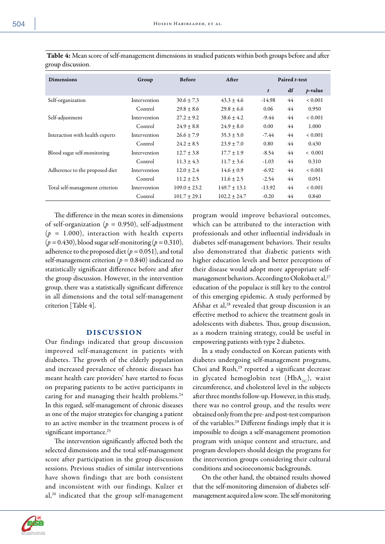| ×<br>×<br>I<br>۰.<br>u,<br>v<br>×<br>۰. | ٠ |
|-----------------------------------------|---|
|-----------------------------------------|---|

| <b>Dimensions</b>               | Group        | <b>Before</b>    | After            | Paired t-test |    |              |
|---------------------------------|--------------|------------------|------------------|---------------|----|--------------|
|                                 |              |                  |                  | t             | df | $p$ -value   |
| Self-organization               | Intervention | $30.6 \pm 7.3$   | $43.3 \pm 4.6$   | $-14.98$      | 44 | ${}_{0.001}$ |
|                                 | Control      | $29.8 + 8.6$     | $29.8 \pm 6.6$   | 0.06          | 44 | 0.950        |
| Self-adjustment                 | Intervention | $27.2 \pm 9.2$   | $38.6 \pm 4.2$   | -9.44         | 44 | ${}< 0.001$  |
|                                 | Control      | $24.9 \pm 8.8$   | $24.9 + 8.0$     | 0.00          | 44 | 1.000        |
| Interaction with health experts | Intervention | $26.6 \pm 7.9$   | $35.3 \pm 5.0$   | -7.44         | 44 | ${}< 0.001$  |
|                                 | Control      | $24.2 + 8.5$     | $23.9 \pm 7.0$   | 0.80          | 44 | 0.430        |
| Blood sugar self-monitoring     | Intervention | $12.7 \pm 3.8$   | $17.7 \pm 1.9$   | $-8.54$       | 44 | < 0.001      |
|                                 | Control      | $11.3 \pm 4.3$   | $11.7 \pm 3.6$   | $-1.03$       | 44 | 0.310        |
| Adherence to the proposed diet  | Intervention | $12.0 \pm 2.4$   | $14.6 \pm 0.9$   | $-6.92$       | 44 | ${}_{0.001}$ |
|                                 | Control      | $11.2 \pm 2.5$   | $11.6 \pm 2.5$   | $-2.54$       | 44 | 0.051        |
| Total self-management criterion | Intervention | $109.0 \pm 23.2$ | $149.7 \pm 13.1$ | $-13.92$      | 44 | ${}< 0.001$  |
|                                 | Control      | $101.7 \pm 29.1$ | $102.2 \pm 24.7$ | $-0.20$       | 44 | 0.840        |

 Table 4: Mean score of self-management dimensions in studied patients within both groups before and after group discussion.

The difference in the mean scores in dimensions of self-organization (*p =* 0.950), self-adjustment (*p =* 1.000), interaction with health experts (*p =* 0.430), blood sugar self-monitoring (*p =* 0.310), adherence to the proposed diet ( $p = 0.051$ ), and total self-management criterion (*p =* 0.840) indicated no statistically significant difference before and after the group discussion. However, in the intervention group, there was a statistically significant difference in all dimensions and the total self-management criterion [Table 4].

#### DISCUSSION

Our findings indicated that group discussion improved self-management in patients with diabetes. The growth of the elderly population and increased prevalence of chronic diseases has meant health care providers' have started to focus on preparing patients to be active participants in caring for and managing their health problems.<sup>24</sup> In this regard, self-management of chronic diseases as one of the major strategies for changing a patient to an active member in the treatment process is of significant importance.<sup>25</sup>

The intervention significantly affected both the selected dimensions and the total self-management score after participation in the group discussion sessions. Previous studies of similar interventions have shown findings that are both consistent and inconsistent with our findings. Kulzer et al,<sup>26</sup> indicated that the group self-management program would improve behavioral outcomes, which can be attributed to the interaction with professionals and other influential individuals in diabetes self-management behaviors. Their results also demonstrated that diabetic patients with higher education levels and better perceptions of their disease would adopt more appropriate selfmanagement behaviors. According to Olokoba et al,<sup>27</sup> education of the populace is still key to the control of this emerging epidemic. A study performed by Afshar et al,<sup>28</sup> revealed that group discussion is an effective method to achieve the treatment goals in adolescents with diabetes. Thus, group discussion, as a modern training strategy, could be useful in empowering patients with type 2 diabetes.

In a study conducted on Korean patients with diabetes undergoing self-management programs, Choi and Rush,<sup>29</sup> reported a significant decrease in glycated hemoglobin test  $(HbA_{1C})$ , waist circumference, and cholesterol level in the subjects after three months follow-up. However, in this study, there was no control group, and the results were obtained only from the pre- and post-test comparison of the variables.29 Different findings imply that it is impossible to design a self-management promotion program with unique content and structure, and program developers should design the programs for the intervention groups considering their cultural conditions and socioeconomic backgrounds.

On the other hand, the obtained results showed that the self-monitoring dimension of diabetes selfmanagement acquired a low score. The self-monitoring

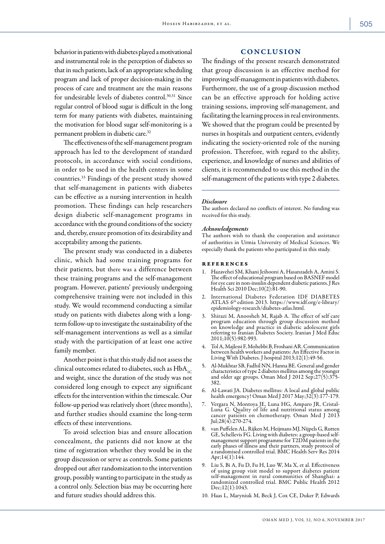behavior in patients with diabetes played a motivational and instrumental role in the perception of diabetes so that in such patients, lack of an appropriate scheduling program and lack of proper decision-making in the process of care and treatment are the main reasons for undesirable levels of diabetes control.30,31 Since regular control of blood sugar is difficult in the long term for many patients with diabetes, maintaining the motivation for blood sugar self-monitoring is a permanent problem in diabetic care.32

The effectiveness of the self-management program approach has led to the development of standard protocols, in accordance with social conditions, in order to be used in the health centers in some countries.33 Findings of the present study showed that self-management in patients with diabetes can be effective as a nursing intervention in health promotion. These findings can help researchers design diabetic self-management programs in accordance with the ground conditions of the society and, thereby, ensure promotion of its desirability and acceptability among the patients.

The present study was conducted in a diabetes clinic, which had some training programs for their patients, but there was a difference between these training programs and the self-management program. However, patients' previously undergoing comprehensive training were not included in this study. We would recommend conducting a similar study on patients with diabetes along with a longterm follow-up to investigate the sustainability of the self-management interventions as well as a similar study with the participation of at least one active family member.

Another point is that this study did not assess the clinical outcomes related to diabetes, such as  $HbA_{1C}$ and weight, since the duration of the study was not considered long enough to expect any significant effects for the intervention within the timescale. Our follow-up period was relatively short (three months), and further studies should examine the long-term effects of these interventions.

To avoid selection bias and ensure allocation concealment, the patients did not know at the time of registration whether they would be in the group discussion or serve as controls. Some patients dropped out after randomization to the intervention group, possibly wanting to participate in the study as a control only. Selection bias may be occurring here and future studies should address this.

#### **CONCLUSION**

The findings of the present research demonstrated that group discussion is an effective method for improving self-management in patients with diabetes. Furthermore, the use of a group discussion method can be an effective approach for holding active training sessions, improving self-management, and facilitating the learning process in real environments. We showed that the program could be presented by nurses in hospitals and outpatient centers, evidently indicating the society-oriented role of the nursing profession. Therefore, with regard to the ability, experience, and knowledge of nurses and abilities of clients, it is recommended to use this method in the self-management of the patients with type 2 diabetes.

#### *Disclosure*

The authors declared no conflicts of interest. No funding was received for this study.

#### *Acknowledgements*

The authors wish to thank the cooperation and assistance of authorities in Urmia University of Medical Sciences. We especially thank the patients who participated in this study.

#### **REFERENCES**

- 1. Hazavehei SM, Khani Jeihooni A, Hasanzadeh A, Amini S. The effect of educational program based on BASNEF model for eye care in non-insulin dependent diabetic patients. J Res Health Sci 2010 Dec;10(2):81-90.
- 2. International Diabetes Federation IDF DIABETES ATLAS 6<sup>th</sup> edition 2013. [https://www.idf.org/e-library/](https://www.idf.org/e-library/epidemiology-research/diabetes-atlas.html) [epidemiology-research/diabetes-atlas.html.](https://www.idf.org/e-library/epidemiology-research/diabetes-atlas.html)
- 3. Shirazi M, Anoosheh M, Rajab A. The effect of self care program education through group discussion method on knowledge and practice in diabetic adolescent girls referring to Iranian Diabetes Society. Iranian J Med Educ 2011;10(5):982-993.
- 4. Tol A, Majlessi F, Mohebbi B, Froshani AR. Communication between health workers and patients: An Effective Factor in Living With Diabetes. J hospital 2013;12(1):49-56.
- 5. Al-Mukhtar SB, Fadhil NN, Hanna BE. General and gender characteristics of type 2 diabetes mellitus among the younger and older age groups. Oman Med J 2012 Sep;27(5):375- 382.
- 6. Al-Lawati JA. Diabetes mellitus: A local and global public health emergency! Oman Med J 2017 May;32(3):177-179.
- 7. Vergara N, Montoya JE, Luna HG, Amparo JR, Cristal-Luna G. Quality of life and nutritional status among cancer patients on chemotherapy. Oman Med J 2013 Jul;28(4):270-274.
- 8. van Puffelen AL, Rijken M, Heijmans MJ, Nijpels G, Rutten GE, Schellevis FG. Living with diabetes: a group-based selfmanagement support programme for T2DM patients in the early phases of illness and their partners, study protocol of a randomised controlled trial. BMC Health Serv Res 2014 Apr;14(1):144.
- 9. Liu S, Bi A, Fu D, Fu H, Luo W, Ma X, et al. Effectiveness of using group visit model to support diabetes patient self-management in rural communities of Shanghai: a randomized controlled trial. BMC Public Health 2012 Dec:12(1):1043.
- 10. Haas L, Maryniuk M, Beck J, Cox CE, Duker P, Edwards